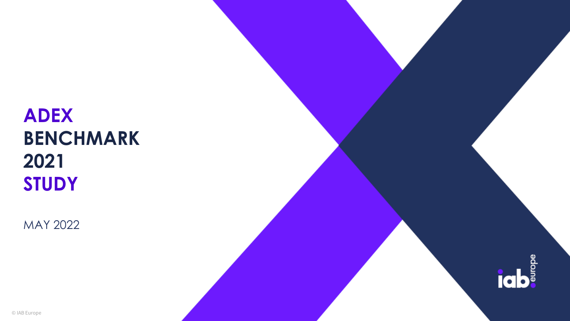# **ADEX BENCHMARK 2021 STUDY**

MAY 2022

**igb**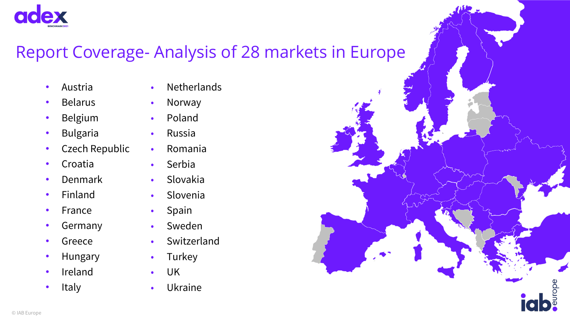

### Report Coverage- Analysis of 28 markets in Europe

- Austria
- Belarus
- Belgium
- **Bulgaria**
- Czech Republic
- Croatia
- Denmark
- Finland
- France
- **Germany**
- **Greece**
- **Hungary**
- **Ireland**
- **Italy**

© IAB Europe

- Netherlands
- Norway
- Poland
- Russia
- Romania
- Serbia
- Slovakia
- Slovenia
- Spain
- Sweden
- Switzerland
- Turkey
- UK
- Ukraine

irope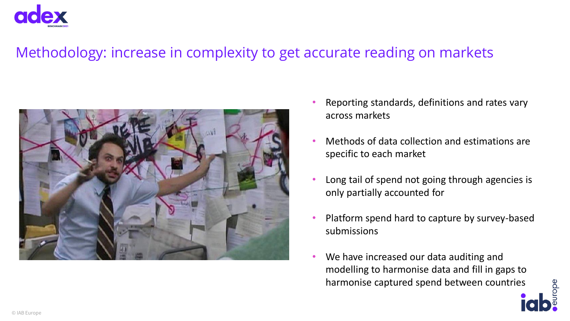

#### Methodology: increase in complexity to get accurate reading on markets



- Reporting standards, definitions and rates vary across markets
- Methods of data collection and estimations are specific to each market
- Long tail of spend not going through agencies is only partially accounted for
- Platform spend hard to capture by survey-based submissions
- We have increased our data auditing and modelling to harmonise data and fill in gaps to harmonise captured spend between countries

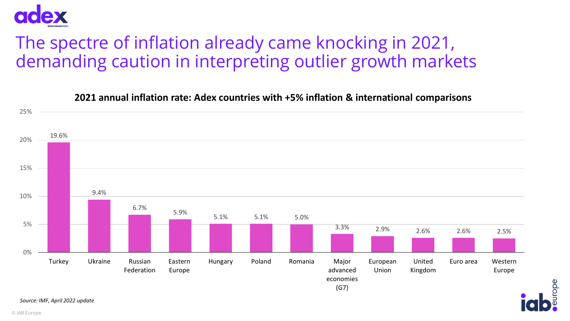

### The spectre of inflation already came knocking in 2021, demanding caution in interpreting outlier growth markets



rope

**2021 annual inflation rate: Adex countries with +5% inflation & international comparisons**

*Source: IMF, April 2022 update*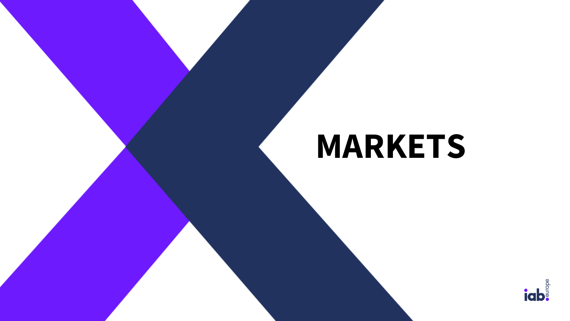# **MARKETS**

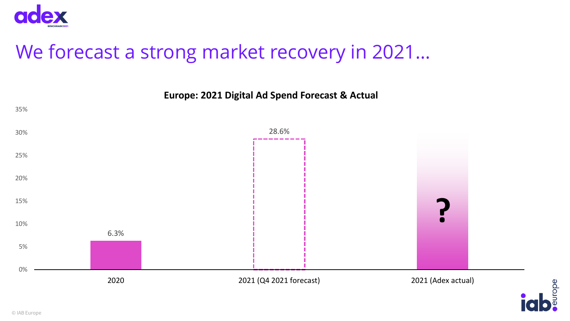

# We forecast a strong market recovery in 2021…



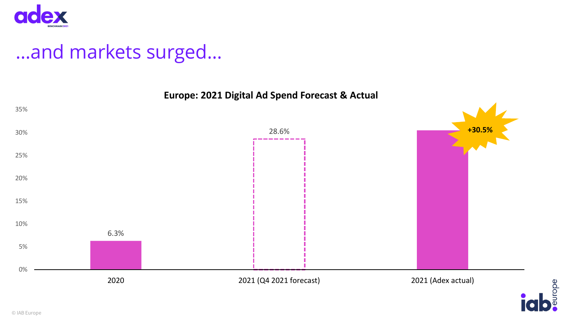

# …and markets surged…



europe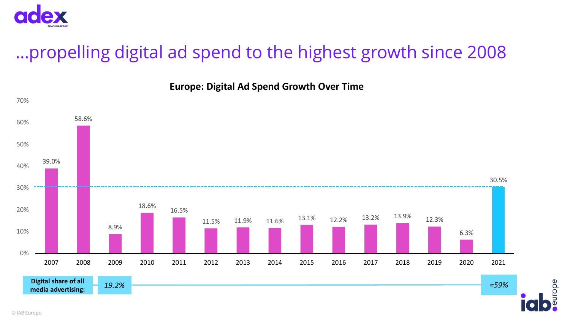

# …propelling digital ad spend to the highest growth since 2008



adoin

**Europe: Digital Ad Spend Growth Over Time**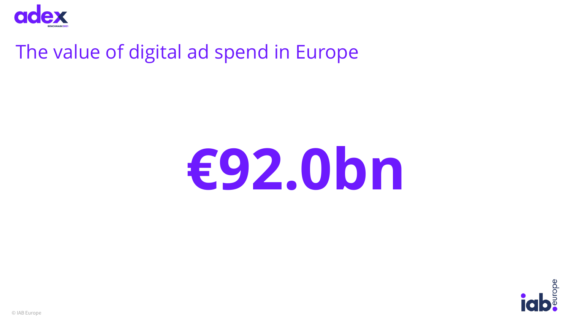

# The value of digital ad spend in Europe

# **€92.0bn**



© IAB Europe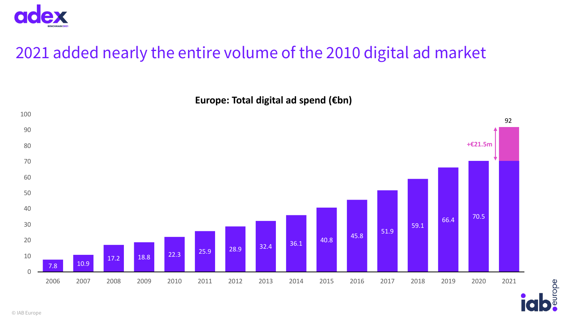

### 2021 added nearly the entire volume of the 2010 digital ad market

**Europe: Total digital ad spend (€bn)**



urope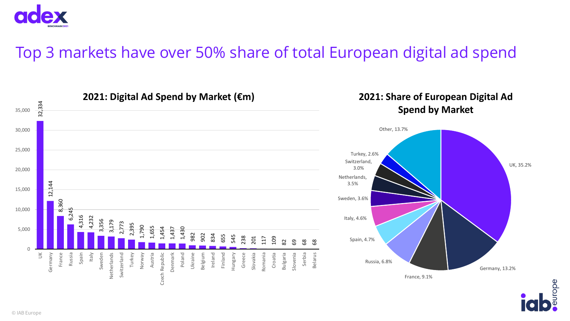

### Top 3 markets have over 50% share of total European digital ad spend

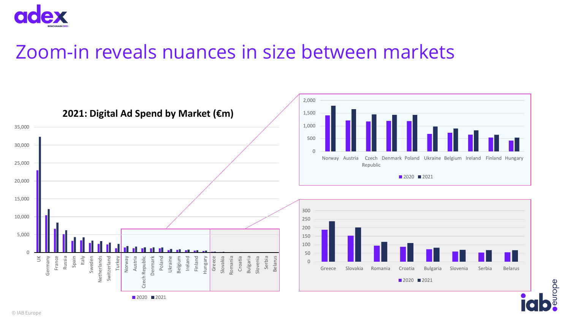

# Zoom-in reveals nuances in size between markets



urope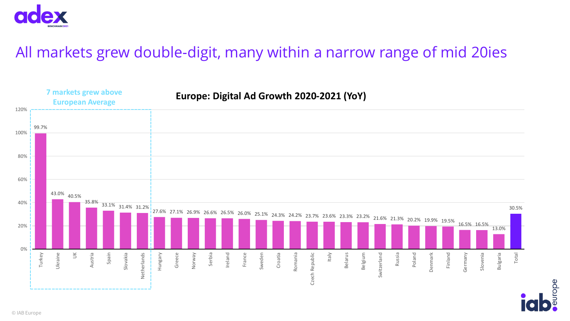

### All markets grew double-digit, many within a narrow range of mid 20ies



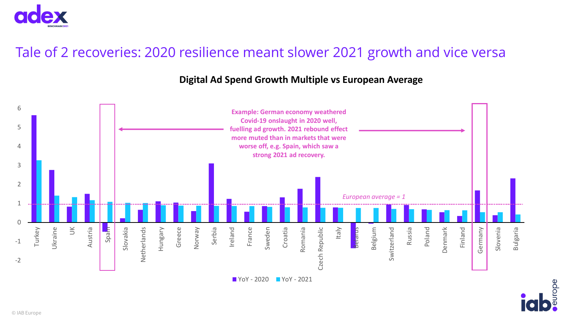

#### Tale of 2 recoveries: 2020 resilience meant slower 2021 growth and vice versa

#### **Digital Ad Spend Growth Multiple vs European Average**



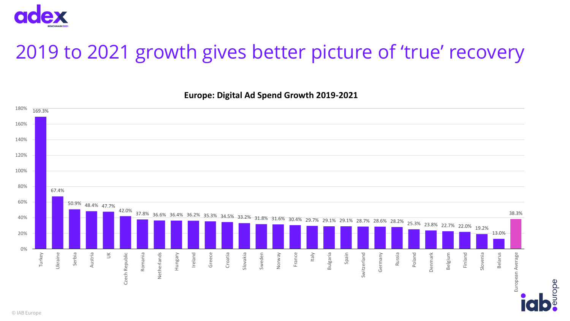

# 2019 to 2021 growth gives better picture of 'true' recovery

**Europe: Digital Ad Spend Growth 2019-2021** 



adon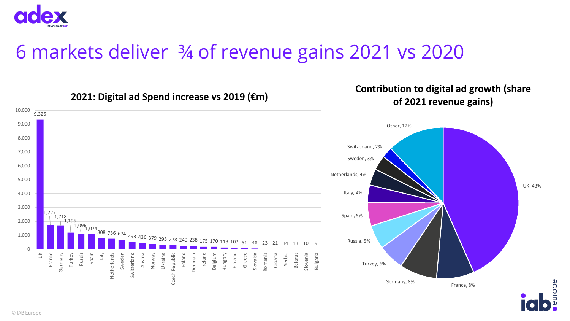

#### 10,000 9,325 9,000 Other, 12% 8,000 Switzerland, 2% 7,000 Sweden, 3% 6,000 Netherlands, 4% 5,000 UK, 43% Italy, 4% 4,000 3,000  $1,727$ <br>
| 1,718 Spain, 5% 2,000 1,196 1,096<br><u>|</u> 1,074<br>| 808 756 <sub>6</sub>74 <sup>808</sup> <sup>756</sup> <sup>674</sup> <sup>493</sup> <sup>436</sup> <sup>379</sup> <sup>295</sup> <sup>278</sup> <sup>240</sup> <sup>238</sup> <sup>175</sup> <sup>170</sup> <sup>118</sup> <sup>107</sup> <sup>51</sup> <sup>48</sup> <sup>23</sup> <sup>21</sup> <sup>14</sup> <sup>13</sup> <sup>10</sup> <sup>9</sup> 1,000 Russia, 5% 0  $\leqq$ France Germany Turkey Spain Italy Austria Denmark Romania Russia Sweden Norway Ukraine Poland Ireland Hungary Finland Greece Slovakia Croatia Serbia Slovenia Bulgaria Netherlands Switzerland Czech Republic Czech Republic Belgium Belarus Turkey, 6% Germany, 8% France, 8%

#### **2021: Digital ad Spend increase vs 2019 (€m)**

#### **Contribution to digital ad growth (share of 2021 revenue gains)**

urope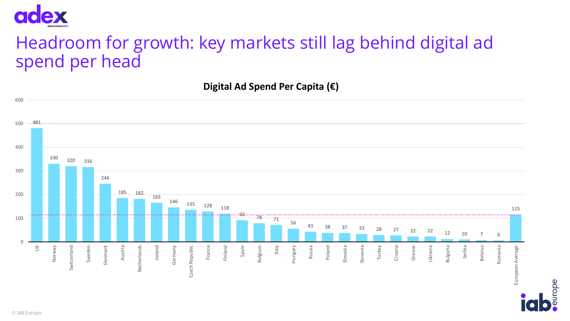

### Headroom for growth: key markets still lag behind digital ad spend per head

**Digital Ad Spend Per Capita (€)**



urope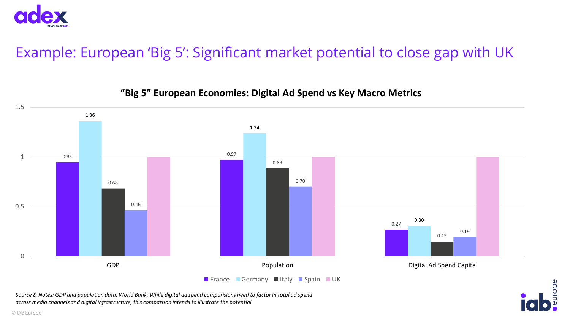

### Example: European 'Big 5': Significant market potential to close gap with UK



#### **"Big 5" European Economies: Digital Ad Spend vs Key Macro Metrics**

*Source & Notes: GDP and population data: World Bank. While digital ad spend comparisions need to factor in total ad spend across media channels and digital infrastructure, this comparison intends to illustrate the potential.* 

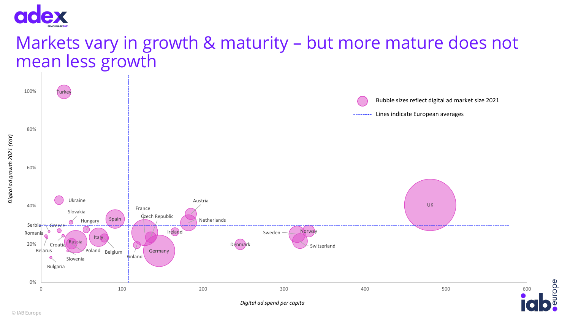

### Markets vary in growth & maturity – but more mature does not mean less growth



rope

*Digital ad growth 2021 (YoY)*

Digital ad growth 2021 (YoY)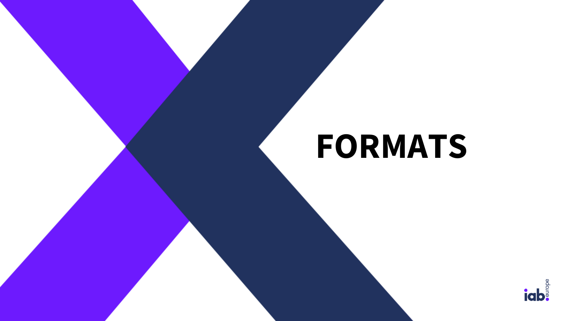# **FORMATS**

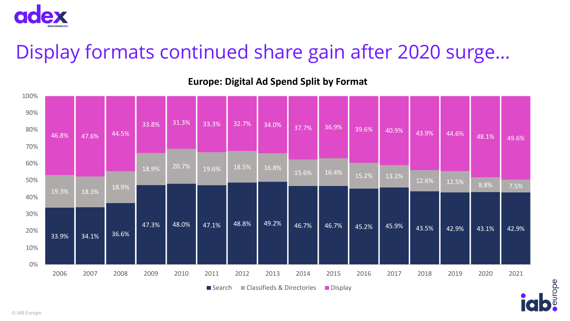

# Display formats continued share gain after 2020 surge…

| 100%  |                                                    |                         |                |                |                |                |                |                |       |       |       |       |       |       |       |       |
|-------|----------------------------------------------------|-------------------------|----------------|----------------|----------------|----------------|----------------|----------------|-------|-------|-------|-------|-------|-------|-------|-------|
| 90%   |                                                    |                         |                |                |                |                |                |                |       |       |       |       |       |       |       |       |
| 80%   | 46.8%                                              | 47.6%<br>18.3%<br>34.1% | 44.5%<br>18.9% | 33.8%          | 31.3%          | 33.3%          | 32.7%          | 34.0%          | 37.7% | 36.9% | 39.6% | 40.9% | 43.9% | 44.6% | 48.1% | 49.6% |
| 70%   |                                                    |                         |                |                |                |                |                |                |       |       |       |       |       |       |       |       |
| 60%   |                                                    |                         |                | 18.9%<br>47.3% | 20.7%<br>48.0% | 19.6%<br>47.1% | 18.5%<br>48.8% | 16.8%<br>49.2% |       | 16.4% | 15.2% | 13.2% | 12.6% | 12.5% |       |       |
| 50%   |                                                    |                         |                |                |                |                |                |                | 15.6% |       |       |       |       |       | 8.8%  | 7.5%  |
| 40%   | 19.3%                                              |                         |                |                |                |                |                |                |       |       |       |       |       |       |       |       |
| 30%   |                                                    |                         | 36.6%          |                |                |                |                |                | 46.7% | 46.7% | 45.2% | 45.9% | 43.5% | 42.9% | 43.1% | 42.9% |
| 20%   | 33.9%                                              |                         |                |                |                |                |                |                |       |       |       |       |       |       |       |       |
| 10%   |                                                    |                         |                |                |                |                |                |                |       |       |       |       |       |       |       |       |
| $0\%$ |                                                    |                         |                |                |                |                |                |                |       |       |       |       |       |       |       |       |
|       | 2006                                               | 2007                    | 2008           | 2009           | 2010           | 2011           | 2012           | 2013           | 2014  | 2015  | 2016  | 2017  | 2018  | 2019  | 2020  | 2021  |
|       | ■ Classifieds & Directories<br>Display<br>■ Search |                         |                |                |                |                |                |                |       |       |       |       |       |       |       |       |

edo.

#### **Europe: Digital Ad Spend Split by Format**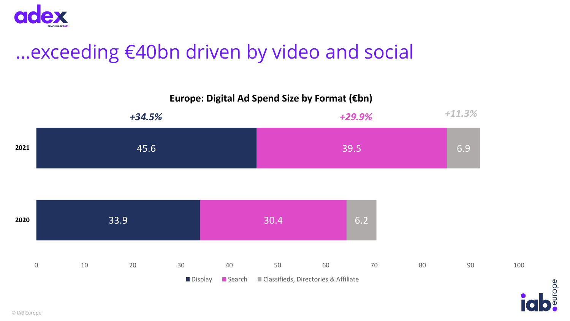

# …exceeding €40bn driven by video and social



europe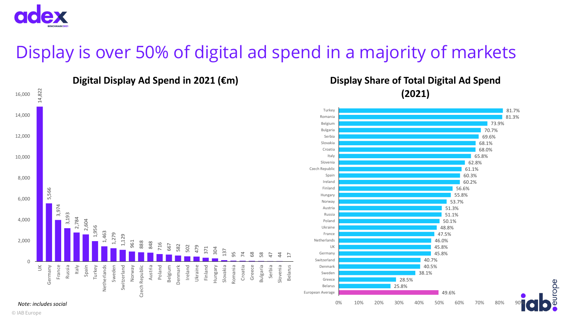

### Display is over 50% of digital ad spend in a majority of markets



urope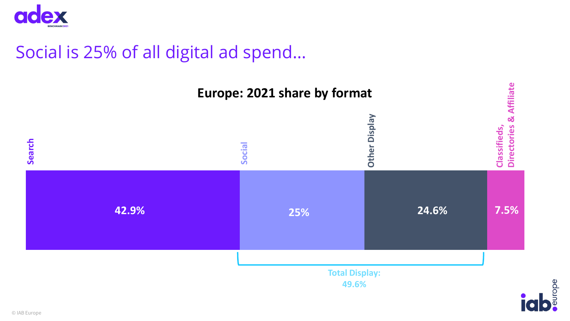

### Social is 25% of all digital ad spend…

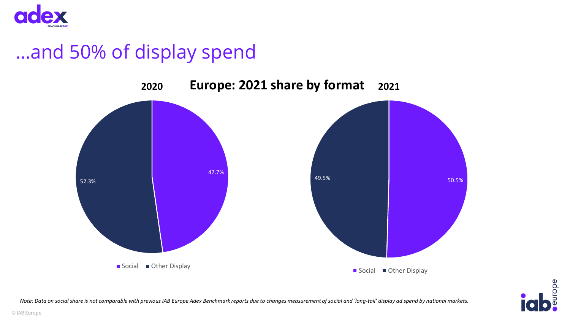

# …and 50% of display spend





*Note: Data on social share is not comparable with previous IAB Europe Adex Benchmark reports due to changes measurement of social and 'long-tail' display ad spend by national markets.*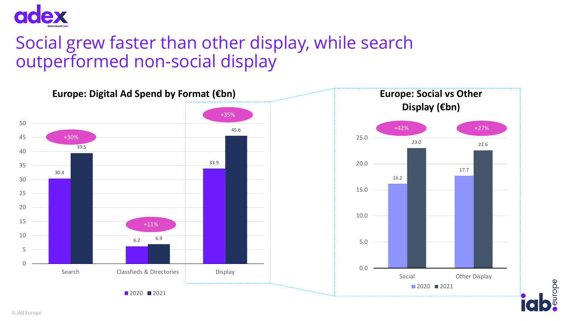

### Social grew faster than other display, while search outperformed non-social display



urope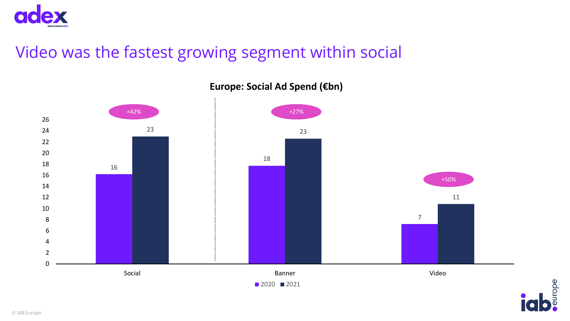

### Video was the fastest growing segment within social



**Europe: Social Ad Spend (€bn)**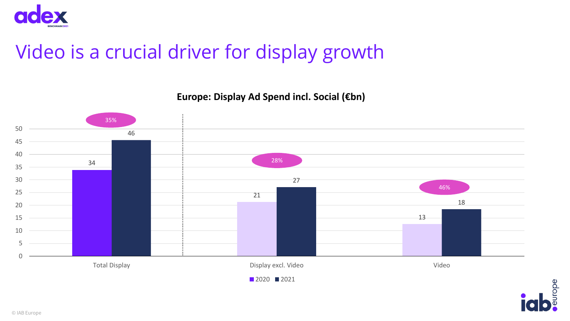

# Video is a crucial driver for display growth

**Europe: Display Ad Spend incl. Social (€bn)**



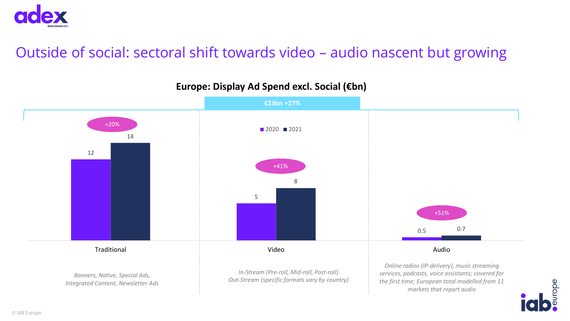

#### Outside of social: sectoral shift towards video – audio nascent but growing



urope

#### **Europe: Display Ad Spend excl. Social (€bn)**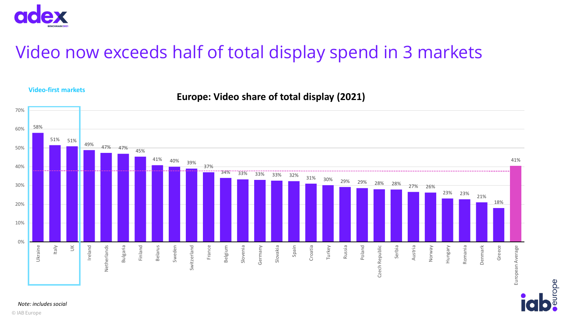

**Video-first markets**

### Video now exceeds half of total display spend in 3 markets

#### 70% 58% 60% 51% 51% 49% 47% 47% 45% 50% 41% 40% 39% 41% 40% 37% 34% 33% 33% 33% 32% 31% 30% 29% 29% 28% 28% 27% 26% 30% 23% 23% 21% 18% 20% 10% 0% Italy Bulgaria Slovakia Ukraine Ireland Finland Belarus Sweden France Belgium Slovenia Germany Spain Croatia Turkey Russia Poland Serbia Austria Hungary Romania Denmark Greece  $\leq$ Netherlands Switzerland Czech Republic Norway European Average Czech Republic European Average

urope

**Europe: Video share of total display (2021)**

*Note: includes social*

© IAB Europe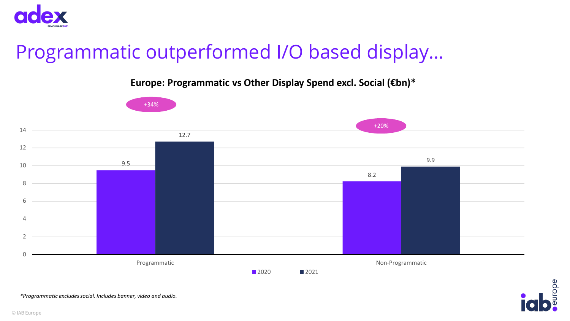

# Programmatic outperformed I/O based display…

**Europe: Programmatic vs Other Display Spend excl. Social (€bn)\***





*\*Programmatic excludes social. Includes banner, video and audio.*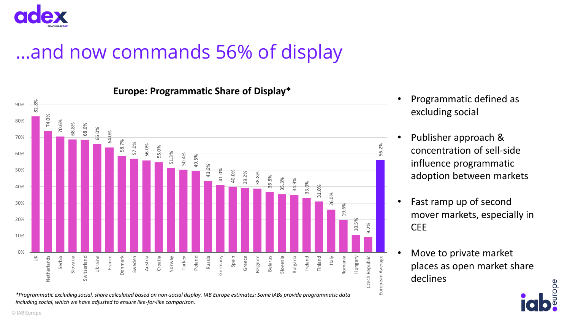

# …and now commands 56% of display



**Europe: Programmatic Share of Display\***

*\*Programmatic excluding social, share calculated based on non-social display. IAB Europe estimates: Some IABs provide programmatic data including social, which we have adjusted to ensure like-for-like comparison.*

- Programmatic defined as excluding social
- Publisher approach & concentration of sell-side influence programmatic adoption between markets
- Fast ramp up of second mover markets, especially in **CEE**
- Move to private market places as open market share declines

European Average

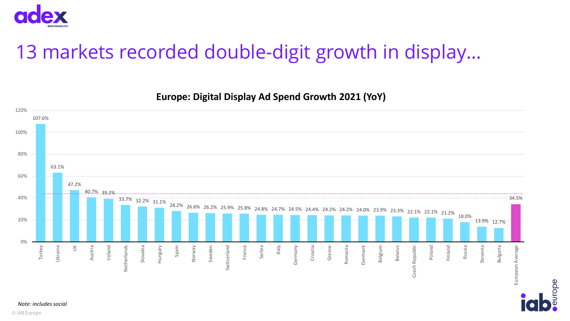

# 13 markets recorded double-digit growth in display…



urope

*Note: includes social*

© IAB Europe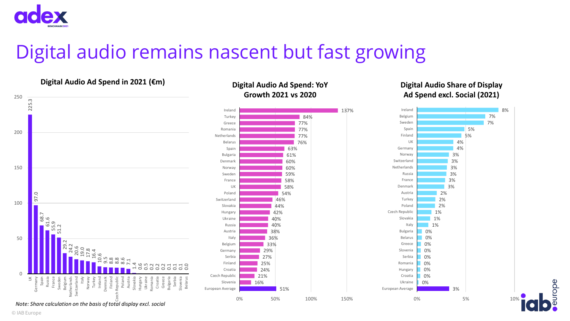

# Digital audio remains nascent but fast growing

#### **Digital Audio Ad Spend in 2021 (€m)**



#### *Note: Share calculation on the basis of total display excl. social*

#### **Digital Audio Ad Spend: YoY Growth 2021 vs 2020**



#### **Digital Audio Share of Display Ad Spend excl. Social (2021)**



urope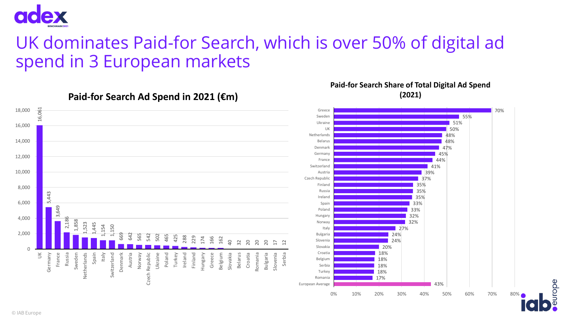

### UK dominates Paid-for Search, which is over 50% of digital ad spend in 3 European markets

**Paid-for Search Share of Total Digital Ad Spend (2021)**

urope



**Paid-for Search Ad Spend in 2021 (€m)**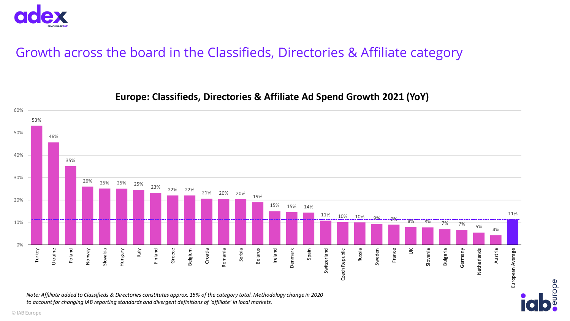

#### Growth across the board in the Classifieds, Directories & Affiliate category



urope

#### **Europe: Classifieds, Directories & Affiliate Ad Spend Growth 2021 (YoY)**

*Note: Affiliate added to Classifieds & Directories constitutes approx. 15% of the category total. Methodology change in 2020 to account for changing IAB reporting standards and divergent definitions of 'affiliate' in local markets.*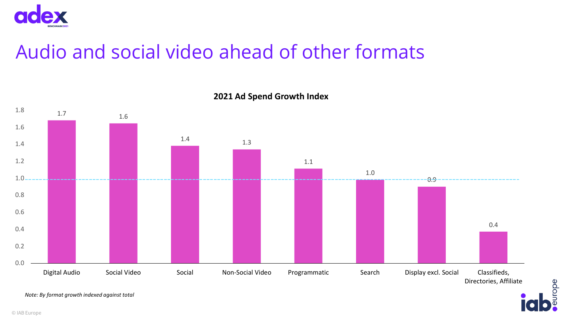

# Audio and social video ahead of other formats



europe

**2021 Ad Spend Growth Index**

*Note: By format growth indexed against total*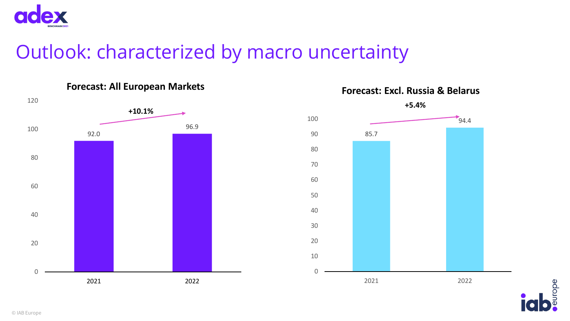

# Outlook: characterized by macro uncertainty





**Forecast: Excl. Russia & Belarus**